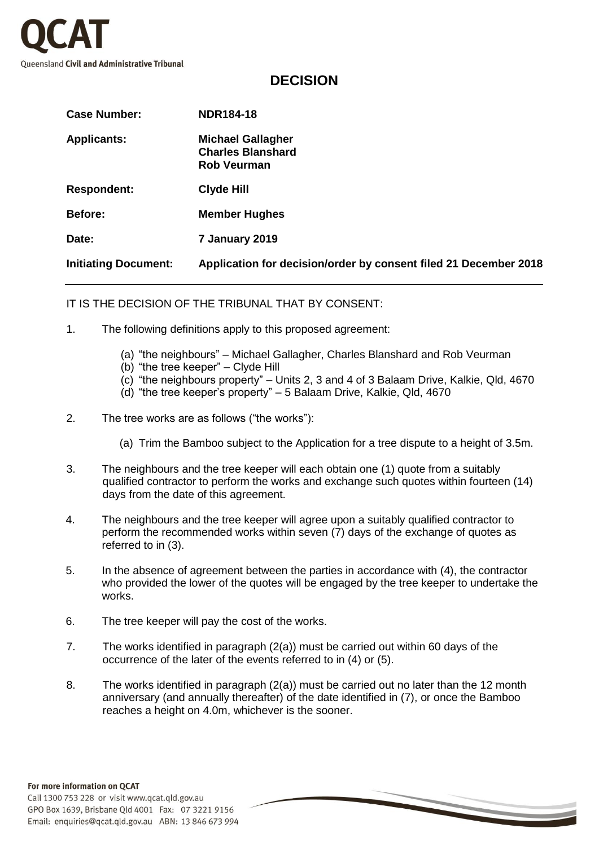

## **DECISION**

| <b>Case Number:</b>         | <b>NDR184-18</b>                                                           |
|-----------------------------|----------------------------------------------------------------------------|
| <b>Applicants:</b>          | <b>Michael Gallagher</b><br><b>Charles Blanshard</b><br><b>Rob Veurman</b> |
| <b>Respondent:</b>          | Clyde Hill                                                                 |
| Before:                     | <b>Member Hughes</b>                                                       |
| Date:                       | 7 January 2019                                                             |
| <b>Initiating Document:</b> | Application for decision/order by consent filed 21 December 2018           |

IT IS THE DECISION OF THE TRIBUNAL THAT BY CONSENT:

- 1. The following definitions apply to this proposed agreement:
	- (a) "the neighbours" Michael Gallagher, Charles Blanshard and Rob Veurman
	- (b) "the tree keeper" Clyde Hill
	- (c) "the neighbours property" Units 2, 3 and 4 of 3 Balaam Drive, Kalkie, Qld, 4670
	- (d) "the tree keeper's property" 5 Balaam Drive, Kalkie, Qld, 4670
- 2. The tree works are as follows ("the works"):
	- (a) Trim the Bamboo subject to the Application for a tree dispute to a height of 3.5m.
- 3. The neighbours and the tree keeper will each obtain one (1) quote from a suitably qualified contractor to perform the works and exchange such quotes within fourteen (14) days from the date of this agreement.
- 4. The neighbours and the tree keeper will agree upon a suitably qualified contractor to perform the recommended works within seven (7) days of the exchange of quotes as referred to in (3).
- 5. In the absence of agreement between the parties in accordance with (4), the contractor who provided the lower of the quotes will be engaged by the tree keeper to undertake the works.
- 6. The tree keeper will pay the cost of the works.
- 7. The works identified in paragraph (2(a)) must be carried out within 60 days of the occurrence of the later of the events referred to in (4) or (5).
- 8. The works identified in paragraph (2(a)) must be carried out no later than the 12 month anniversary (and annually thereafter) of the date identified in (7), or once the Bamboo reaches a height on 4.0m, whichever is the sooner.